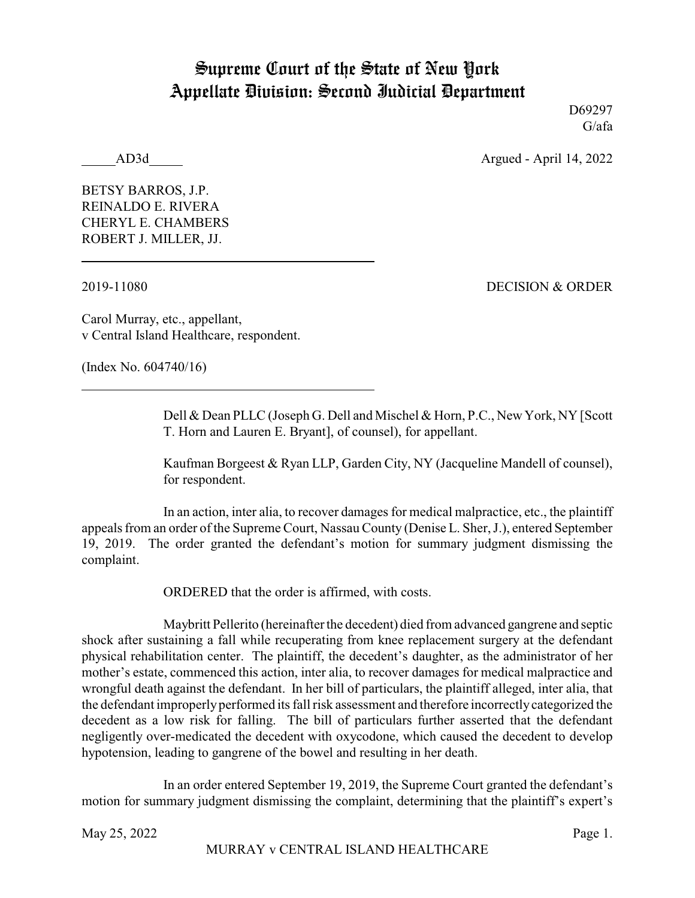## Supreme Court of the State of New York Appellate Division: Second Judicial Department

D69297 G/afa

AD3d Argued - April 14, 2022

BETSY BARROS, J.P. REINALDO E. RIVERA CHERYL E. CHAMBERS ROBERT J. MILLER, JJ.

2019-11080 DECISION & ORDER

Carol Murray, etc., appellant, v Central Island Healthcare, respondent.

(Index No. 604740/16)

Dell & Dean PLLC (Joseph G. Dell and Mischel & Horn, P.C., New York, NY [Scott T. Horn and Lauren E. Bryant], of counsel), for appellant.

Kaufman Borgeest & Ryan LLP, Garden City, NY (Jacqueline Mandell of counsel), for respondent.

In an action, inter alia, to recover damages for medical malpractice, etc., the plaintiff appeals from an order of the Supreme Court, Nassau County (Denise L. Sher, J.), entered September 19, 2019. The order granted the defendant's motion for summary judgment dismissing the complaint.

ORDERED that the order is affirmed, with costs.

Maybritt Pellerito (hereinafter the decedent) died from advanced gangrene and septic shock after sustaining a fall while recuperating from knee replacement surgery at the defendant physical rehabilitation center. The plaintiff, the decedent's daughter, as the administrator of her mother's estate, commenced this action, inter alia, to recover damages for medical malpractice and wrongful death against the defendant. In her bill of particulars, the plaintiff alleged, inter alia, that the defendant improperlyperformed its fall risk assessment and therefore incorrectlycategorized the decedent as a low risk for falling. The bill of particulars further asserted that the defendant negligently over-medicated the decedent with oxycodone, which caused the decedent to develop hypotension, leading to gangrene of the bowel and resulting in her death.

In an order entered September 19, 2019, the Supreme Court granted the defendant's motion for summary judgment dismissing the complaint, determining that the plaintiff's expert's

May  $25, 2022$  Page 1.